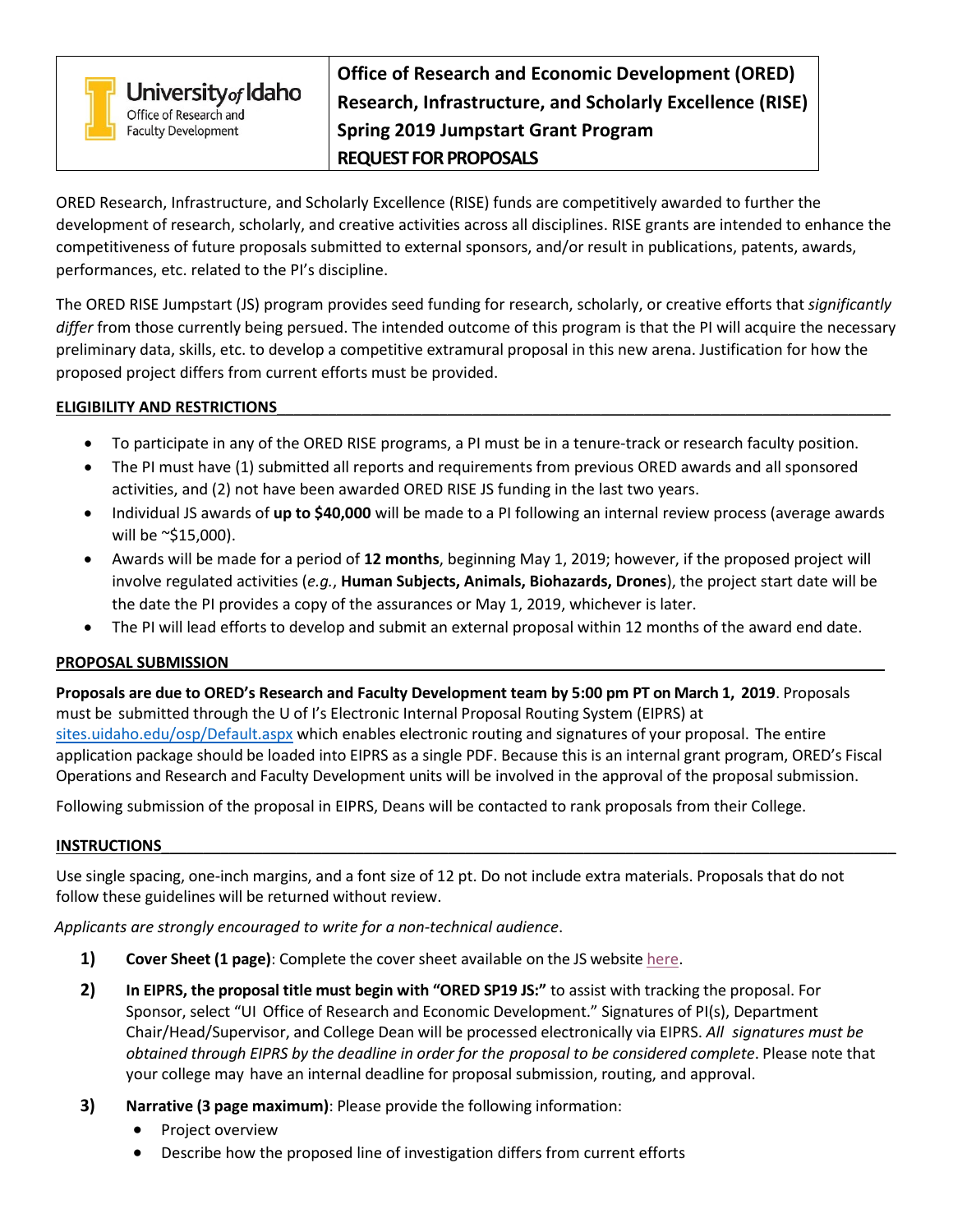

University<sub>of</sub> Idaho Office of Research and **Faculty Development** 

**Office of Research and Economic Development (ORED) Research, Infrastructure, and Scholarly Excellence (RISE) Spring 2019 Jumpstart Grant Program REQUEST FOR PROPOSALS**

ORED Research, Infrastructure, and Scholarly Excellence (RISE) funds are competitively awarded to further the development of research, scholarly, and creative activities across all disciplines. RISE grants are intended to enhance the competitiveness of future proposals submitted to external sponsors, and/or result in publications, patents, awards, performances, etc. related to the PI's discipline.

The ORED RISE Jumpstart (JS) program provides seed funding for research, scholarly, or creative efforts that *significantly differ* from those currently being persued. The intended outcome of this program is that the PI will acquire the necessary preliminary data, skills, etc. to develop a competitive extramural proposal in this new arena. Justification for how the proposed project differs from current efforts must be provided.

## **ELIGIBILITY AND RESTRICTIONS**\_\_\_\_\_\_\_\_\_\_\_\_\_\_\_\_\_\_\_\_\_\_\_\_\_\_\_\_\_\_\_\_\_\_\_\_\_\_\_\_\_\_\_\_\_\_\_\_\_\_\_\_\_\_\_\_\_\_\_\_\_\_\_\_\_\_\_\_\_\_\_\_

- To participate in any of the ORED RISE programs, a PI must be in a tenure-track or research faculty position.
- The PI must have (1) submitted all reports and requirements from previous ORED awards and all sponsored activities, and (2) not have been awarded ORED RISE JS funding in the last two years.
- Individual JS awards of **up to \$40,000** will be made to a PI following an internal review process (average awards will be ~\$15,000).
- Awards will be made for a period of **12 months**, beginning May 1, 2019; however, if the proposed project will involve regulated activities (*e.g.*, **Human Subjects, Animals, Biohazards, Drones**), the project start date will be the date the PI provides a copy of the assurances or May 1, 2019, whichever is later.
- The PI will lead efforts to develop and submit an external proposal within 12 months of the award end date.

# **PROPOSAL SUBMISSION**\_\_\_\_\_\_\_\_\_\_\_\_\_\_\_\_\_\_\_\_\_\_\_\_\_\_\_\_\_\_\_\_\_\_\_\_\_\_\_\_\_\_\_\_\_\_\_\_\_\_\_\_\_\_\_\_\_\_\_\_\_\_\_\_\_\_\_\_\_\_\_\_\_\_\_\_\_

**Proposals are due to ORED's Research and Faculty Development team by 5:00 pm PT on March 1, 2019**. Proposals must be submitted through the U of I's Electronic Internal Proposal Routing System (EIPRS) at [sites.uidaho.edu/osp/Default.aspx](https://www.sites.uidaho.edu/osp/Default.aspx) which enables electronic routing and signatures of your proposal. The entire application package should be loaded into EIPRS as a single PDF. Because this is an internal grant program, ORED's Fiscal Operations and Research and Faculty Development units will be involved in the approval of the proposal submission.

Following submission of the proposal in EIPRS, Deans will be contacted to rank proposals from their College.

### **INSTRUCTIONS**\_\_\_\_\_\_\_\_\_\_\_\_\_\_\_\_\_\_\_\_\_\_\_\_\_\_\_\_\_\_\_\_\_\_\_\_\_\_\_\_\_\_\_\_\_\_\_\_\_\_\_\_\_\_\_\_\_\_\_\_\_\_\_\_\_\_\_\_\_\_\_\_\_\_\_\_\_\_\_\_\_\_\_\_\_\_\_

Use single spacing, one-inch margins, and a font size of 12 pt. Do not include extra materials. Proposals that do not follow these guidelines will be returned without review.

*Applicants are strongly encouraged to write for a non-technical audience*.

- **1) Cover Sheet (1 page)**: Complete the cover sheet available on the JS website [here.](https://www.uidaho.edu/research/faculty/find-funding/internal-funding/jumpstart)
- **2) In EIPRS, the proposal title must begin with "ORED SP19 JS:"** to assist with tracking the proposal. For Sponsor, select "UI Office of Research and Economic Development." Signatures of PI(s), Department Chair/Head/Supervisor, and College Dean will be processed electronically via EIPRS. *All signatures must be obtained through EIPRS by the deadline in order for the proposal to be considered complete*. Please note that your college may have an internal deadline for proposal submission, routing, and approval.
- **3) Narrative (3 page maximum)**: Please provide the following information:
	- Project overview
	- Describe how the proposed line of investigation differs from current efforts